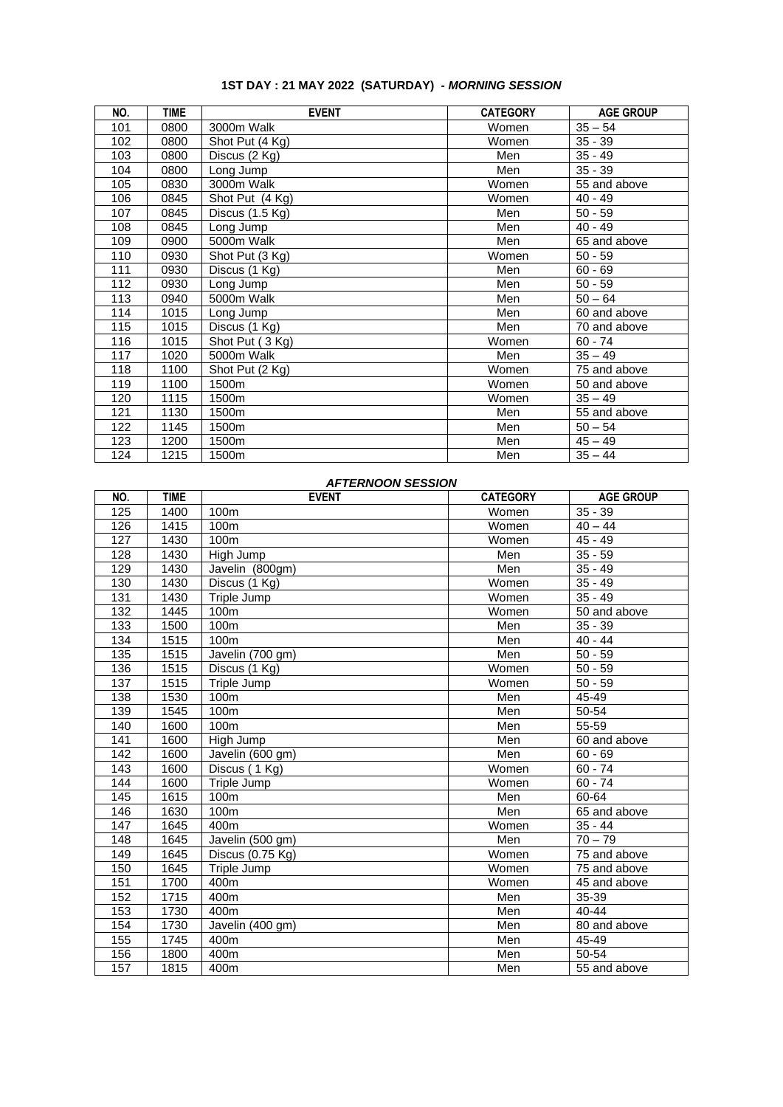| NO. | <b>TIME</b> | <b>EVENT</b>                | <b>CATEGORY</b> | <b>AGE GROUP</b> |
|-----|-------------|-----------------------------|-----------------|------------------|
| 101 | 0800        | 3000m Walk                  | Women           | $35 - 54$        |
| 102 | 0800        | Shot Put (4 Kg)             | Women           | $35 - 39$        |
| 103 | 0800        | Discus (2 Kg)               | Men             | $35 - 49$        |
| 104 | 0800        | Long Jump                   | Men             | $35 - 39$        |
| 105 | 0830        | 3000m Walk                  | Women           | 55 and above     |
| 106 | 0845        | Shot Put (4 Kg)             | Women           | $40 - 49$        |
| 107 | 0845        | Discus (1.5 Kg)             | Men             | $50 - 59$        |
| 108 | 0845        | Long Jump                   | Men             | $40 - 49$        |
| 109 | 0900        | 5000m Walk                  | Men             | 65 and above     |
| 110 | 0930        | Shot Put (3 Kg)             | Women           | $50 - 59$        |
| 111 | 0930        | Discus (1 Kg)               | Men             | $60 - 69$        |
| 112 | 0930        | Long Jump                   | Men             | $50 - 59$        |
| 113 | 0940        | 5000m Walk                  | Men             | $50 - 64$        |
| 114 | 1015        | Long Jump                   | Men             | 60 and above     |
| 115 | 1015        | $\overline{D}$ iscus (1 Kg) | Men             | 70 and above     |
| 116 | 1015        | Shot Put (3 Kg)             | Women           | $60 - 74$        |
| 117 | 1020        | 5000m Walk                  | Men             | $35 - 49$        |
| 118 | 1100        | Shot Put (2 Kg)             | Women           | 75 and above     |
| 119 | 1100        | 1500m                       | Women           | 50 and above     |
| 120 | 1115        | 1500m                       | Women           | $35 - 49$        |
| 121 | 1130        | 1500m                       | Men             | 55 and above     |
| 122 | 1145        | 1500m                       | Men             | $50 - 54$        |
| 123 | 1200        | 1500m                       | Men             | $45 - 49$        |
| 124 | 1215        | 1500m                       | Men             | $35 - 44$        |

## **1ST DAY : 21 MAY 2022 (SATURDAY) -** *MORNING SESSION*

## *AFTERNOON SESSION*

| NO.             | <b>TIME</b> | <b>EVENT</b>               | <b>CATEGORY</b> | <b>AGE GROUP</b> |
|-----------------|-------------|----------------------------|-----------------|------------------|
| 125             | 1400        | 100m                       | Women           | $35 - 39$        |
| 126             | 1415        | 100m                       | Women           | $40 - 44$        |
| 127             | 1430        | 100m                       | Women           | $45 - 49$        |
| 128             | 1430        | High Jump                  | Men             | $35 - 59$        |
| 129             | 1430        | Javelin (800gm)            | Men             | $35 - 49$        |
| 130             | 1430        | Discus (1 Kg)              | Women           | $35 - 49$        |
| 131             | 1430        | Triple Jump                | Women           | $35 - 49$        |
| 132             | 1445        | 100m                       | Women           | 50 and above     |
| 133             | 1500        | 100m                       | Men             | $35 - 39$        |
| 134             | 1515        | 100m                       | Men             | $40 - 44$        |
| $\frac{135}{1}$ | 1515        | Javelin (700 gm)           | Men             | $50 - 59$        |
| 136             | 1515        | Discus (1 Kg)              | Women           | $50 - 59$        |
| 137             | 1515        | Triple Jump                | Women           | $50 - 59$        |
| 138             | 1530        | 100m                       | Men             | 45-49            |
| 139             | 1545        | 100m                       | Men             | 50-54            |
| 140             | 1600        | 100m                       | Men             | 55-59            |
| 141             | 1600        | High Jump                  | Men             | 60 and above     |
| 142             | 1600        | Javelin (600 gm)           | Men             | $60 - 69$        |
| 143             | 1600        | Discus (1 Kg)              | Women           | $60 - 74$        |
| 144             | 1600        | Triple Jump                | Women           | $60 - 74$        |
| 145             | 1615        | 100m                       | Men             | 60-64            |
| 146             | 1630        | 100m                       | Men             | 65 and above     |
| 147             | 1645        | 400m                       | Women           | $35 - 44$        |
| 148             | 1645        | Javelin (500 gm)           | Men             | $70 - 79$        |
| 149             | 1645        | Discus $(0.75 \text{ Kg})$ | Women           | 75 and above     |
| 150             | 1645        | Triple Jump                | Women           | 75 and above     |
| 151             | 1700        | 400m                       | Women           | 45 and above     |
| 152             | 1715        | 400m                       | Men             | 35-39            |
| 153             | 1730        | 400m                       | Men             | $40 - 44$        |
| 154             | 1730        | Javelin (400 gm)           | Men             | 80 and above     |
| 155             | 1745        | 400m                       | Men             | 45-49            |
| 156             | 1800        | 400m                       | Men             | 50-54            |
| 157             | 1815        | 400m                       | Men             | 55 and above     |